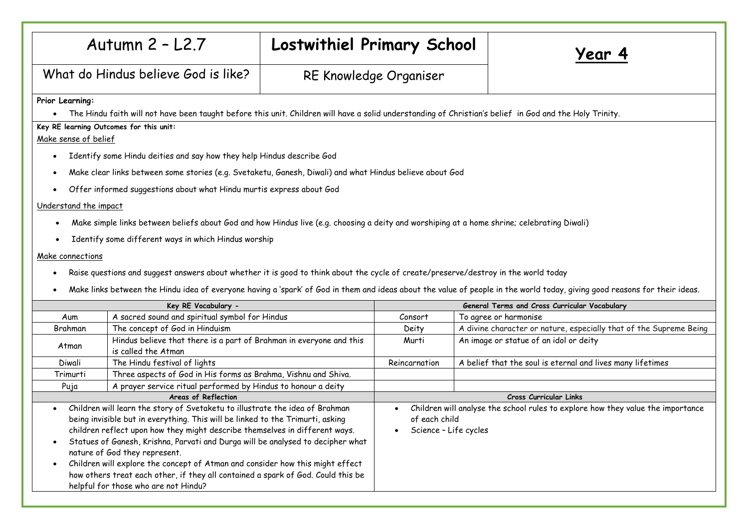| Prior Learning:                                                                                                                                                                                                                                                                                                                                                                                                                                                                                                                                                                                          |                                                                                                                                             |                                                                                                                           |                        |                                                                                                                                                                            |  |
|----------------------------------------------------------------------------------------------------------------------------------------------------------------------------------------------------------------------------------------------------------------------------------------------------------------------------------------------------------------------------------------------------------------------------------------------------------------------------------------------------------------------------------------------------------------------------------------------------------|---------------------------------------------------------------------------------------------------------------------------------------------|---------------------------------------------------------------------------------------------------------------------------|------------------------|----------------------------------------------------------------------------------------------------------------------------------------------------------------------------|--|
|                                                                                                                                                                                                                                                                                                                                                                                                                                                                                                                                                                                                          |                                                                                                                                             | What do Hindus believe God is like?<br>RE Knowledge Organiser                                                             |                        |                                                                                                                                                                            |  |
|                                                                                                                                                                                                                                                                                                                                                                                                                                                                                                                                                                                                          |                                                                                                                                             |                                                                                                                           |                        | The Hindu faith will not have been taught before this unit. Children will have a solid understanding of Christian's belief in God and the Holy Trinity.                    |  |
| Make sense of belief                                                                                                                                                                                                                                                                                                                                                                                                                                                                                                                                                                                     | Key RE learning Outcomes for this unit:                                                                                                     |                                                                                                                           |                        |                                                                                                                                                                            |  |
| $\bullet$                                                                                                                                                                                                                                                                                                                                                                                                                                                                                                                                                                                                | Identify some Hindu deities and say how they help Hindus describe God                                                                       |                                                                                                                           |                        |                                                                                                                                                                            |  |
| $\bullet$                                                                                                                                                                                                                                                                                                                                                                                                                                                                                                                                                                                                | Make clear links between some stories (e.g. Svetaketu, Ganesh, Diwali) and what Hindus believe about God                                    |                                                                                                                           |                        |                                                                                                                                                                            |  |
| $\bullet$                                                                                                                                                                                                                                                                                                                                                                                                                                                                                                                                                                                                | Offer informed suggestions about what Hindu murtis express about God                                                                        |                                                                                                                           |                        |                                                                                                                                                                            |  |
| Understand the impact                                                                                                                                                                                                                                                                                                                                                                                                                                                                                                                                                                                    |                                                                                                                                             |                                                                                                                           |                        |                                                                                                                                                                            |  |
| $\bullet$                                                                                                                                                                                                                                                                                                                                                                                                                                                                                                                                                                                                | Make simple links between beliefs about God and how Hindus live (e.g. choosing a deity and worshiping at a home shrine; celebrating Diwali) |                                                                                                                           |                        |                                                                                                                                                                            |  |
| $\bullet$                                                                                                                                                                                                                                                                                                                                                                                                                                                                                                                                                                                                | Identify some different ways in which Hindus worship                                                                                        |                                                                                                                           |                        |                                                                                                                                                                            |  |
| Make connections                                                                                                                                                                                                                                                                                                                                                                                                                                                                                                                                                                                         |                                                                                                                                             |                                                                                                                           |                        |                                                                                                                                                                            |  |
|                                                                                                                                                                                                                                                                                                                                                                                                                                                                                                                                                                                                          | Raise questions and suggest answers about whether it is good to think about the cycle of create/preserve/destroy in the world today         |                                                                                                                           |                        |                                                                                                                                                                            |  |
| $\bullet$                                                                                                                                                                                                                                                                                                                                                                                                                                                                                                                                                                                                |                                                                                                                                             |                                                                                                                           |                        |                                                                                                                                                                            |  |
|                                                                                                                                                                                                                                                                                                                                                                                                                                                                                                                                                                                                          |                                                                                                                                             |                                                                                                                           |                        | Make links between the Hindu idea of everyone having a 'spark' of God in them and ideas about the value of people in the world today, giving good reasons for their ideas. |  |
| Aum                                                                                                                                                                                                                                                                                                                                                                                                                                                                                                                                                                                                      | Key RE Vocabulary -<br>A sacred sound and spiritual symbol for Hindus                                                                       |                                                                                                                           | Consort                | General Terms and Cross Curricular Vocabulary<br>To agree or harmonise                                                                                                     |  |
| Brahman                                                                                                                                                                                                                                                                                                                                                                                                                                                                                                                                                                                                  | The concept of God in Hinduism                                                                                                              |                                                                                                                           | Deity                  | A divine character or nature, especially that of the Supreme Being                                                                                                         |  |
|                                                                                                                                                                                                                                                                                                                                                                                                                                                                                                                                                                                                          | Hindus believe that there is a part of Brahman in everyone and this                                                                         |                                                                                                                           | Murti                  | An image or statue of an idol or deity                                                                                                                                     |  |
| Atman                                                                                                                                                                                                                                                                                                                                                                                                                                                                                                                                                                                                    | is called the Atman                                                                                                                         |                                                                                                                           |                        |                                                                                                                                                                            |  |
| Diwali                                                                                                                                                                                                                                                                                                                                                                                                                                                                                                                                                                                                   | The Hindu festival of lights                                                                                                                |                                                                                                                           | Reincarnation          | A belief that the soul is eternal and lives many lifetimes                                                                                                                 |  |
| Trimurti                                                                                                                                                                                                                                                                                                                                                                                                                                                                                                                                                                                                 | Three aspects of God in His forms as Brahma, Vishnu and Shiva.                                                                              |                                                                                                                           |                        |                                                                                                                                                                            |  |
| Puja                                                                                                                                                                                                                                                                                                                                                                                                                                                                                                                                                                                                     | A prayer service ritual performed by Hindus to honour a deity                                                                               |                                                                                                                           |                        |                                                                                                                                                                            |  |
| Areas of Reflection                                                                                                                                                                                                                                                                                                                                                                                                                                                                                                                                                                                      |                                                                                                                                             |                                                                                                                           | Cross Curricular Links |                                                                                                                                                                            |  |
| Children will learn the story of Svetaketu to illustrate the idea of Brahman<br>being invisible but in everything. This will be linked to the Trimurti, asking<br>children reflect upon how they might describe themselves in different ways.<br>Statues of Ganesh, Krishna, Parvati and Durga will be analysed to decipher what<br>$\bullet$<br>nature of God they represent.<br>Children will explore the concept of Atman and consider how this might effect<br>$\bullet$<br>how others treat each other, if they all contained a spark of God. Could this be<br>helpful for those who are not Hindu? |                                                                                                                                             | Children will analyse the school rules to explore how they value the importance<br>of each child<br>Science - Life cycles |                        |                                                                                                                                                                            |  |